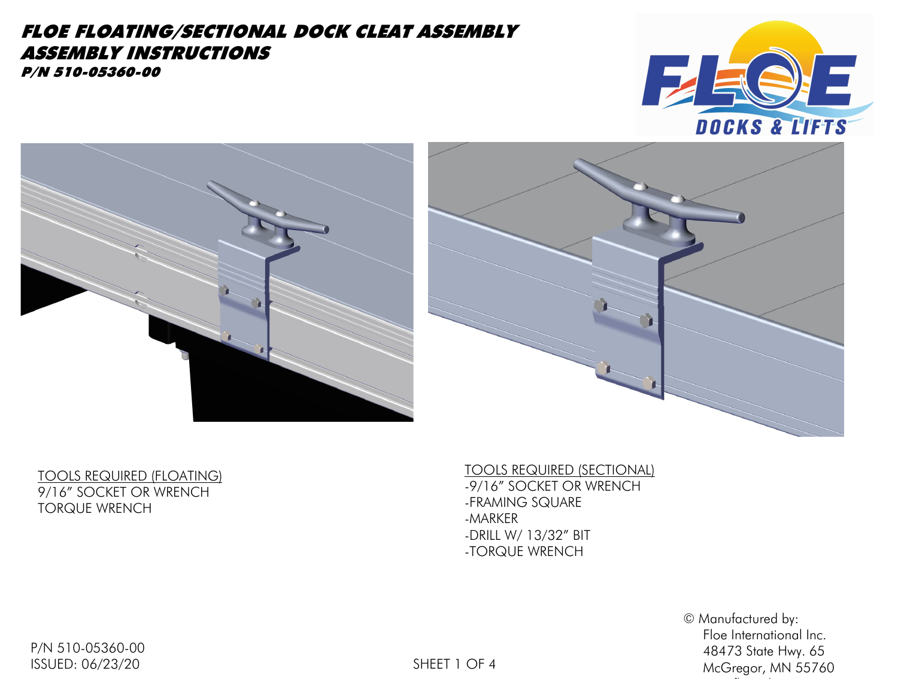# FLOE FLOATING/SECTIONAL DOCK CLEAT ASSEMBLY ASSEMBLY INSTRUCTIONS

P/N 510-05360-00







TOOLS REQUIRED (FLOATING) 9/16" SOCKET OR WRENCH TORQUE WRENCH

TOOLS REQUIRED (SECTIONAL) -9/16" SOCKET OR WRENCH -FRAMING SQUARE -MARKER -DRILL W/ 13/32" BIT -TORQUE WRENCH

> © Manufactured by: Floe International Inc. 48473 State Hwy. 65 McGregor, MN 55760

www.floeintl.com

P/N 510-05360-00 ISSUED: 06/23/20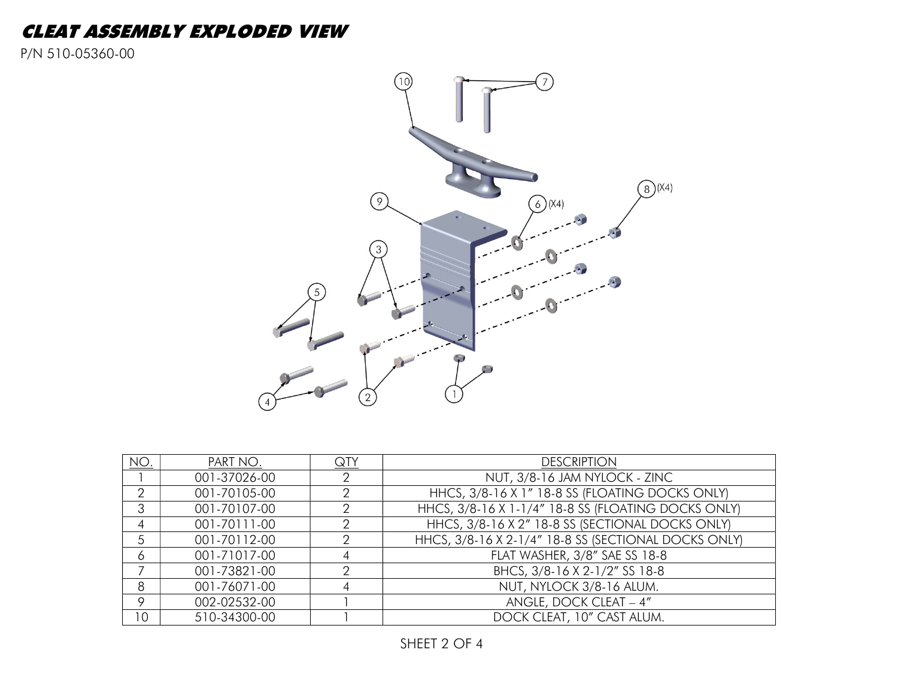## CLEAT ASSEMBLY EXPLODED VIEW

P/N 510-05360-00



| NO.            | PART NO.     | $\overline{Q}TY$ | <b>DESCRIPTION</b>                                   |
|----------------|--------------|------------------|------------------------------------------------------|
|                | 001-37026-00 |                  | NUT, 3/8-16 JAM NYLOCK - ZINC                        |
| $\overline{2}$ | 001-70105-00 |                  | HHCS, 3/8-16 X 1" 18-8 SS (FLOATING DOCKS ONLY)      |
| 3              | 001-70107-00 |                  | HHCS, 3/8-16 X 1-1/4" 18-8 SS (FLOATING DOCKS ONLY)  |
| 4              | 001-70111-00 |                  | HHCS, 3/8-16 X 2" 18-8 SS (SECTIONAL DOCKS ONLY)     |
| 5              | 001-70112-00 |                  | HHCS, 3/8-16 X 2-1/4" 18-8 SS (SECTIONAL DOCKS ONLY) |
| 6              | 001-71017-00 |                  | FLAT WASHER, 3/8" SAE SS 18-8                        |
|                | 001-73821-00 |                  | BHCS, 3/8-16 X 2-1/2" SS 18-8                        |
| 8              | 001-76071-00 |                  | NUT, NYLOCK 3/8-16 ALUM.                             |
| $\circ$        | 002-02532-00 |                  | ANGLE, DOCK CLEAT - 4"                               |
| 10             | 510-34300-00 |                  | DOCK CLEAT, 10" CAST ALUM.                           |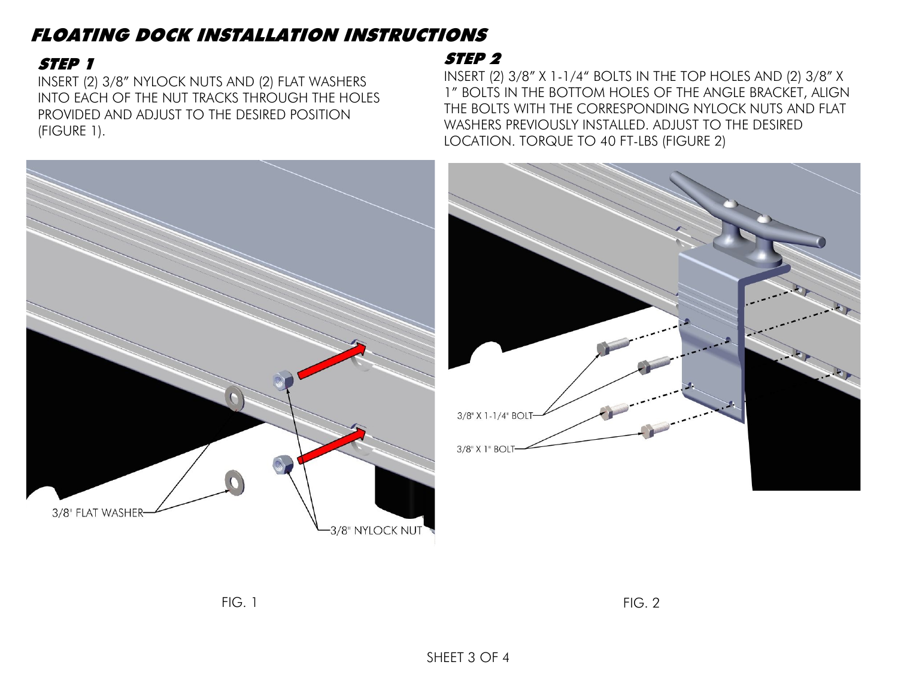# FLOATING DOCK INSTALLATION INSTRUCTIONS

### STEP 1

INSERT (2) 3/8" NYLOCK NUTS AND (2) FLAT WASHERS INTO EACH OF THE NUT TRACKS THROUGH THE HOLES PROVIDED AND ADJUST TO THE DESIRED POSITION (FIGURE 1).

## STEP 2

INSERT (2) 3/8" X 1-1/4" BOLTS IN THE TOP HOLES AND (2) 3/8" X 1" BOLTS IN THE BOTTOM HOLES OF THE ANGLE BRACKET, ALIGN THE BOLTS WITH THE CORRESPONDING NYLOCK NUTS AND FLAT WASHERS PREVIOUSLY INSTALLED. ADJUST TO THE DESIRED LOCATION. TORQUE TO 40 FT-LBS (FIGURE 2)





FIG. 1 FIG. 2